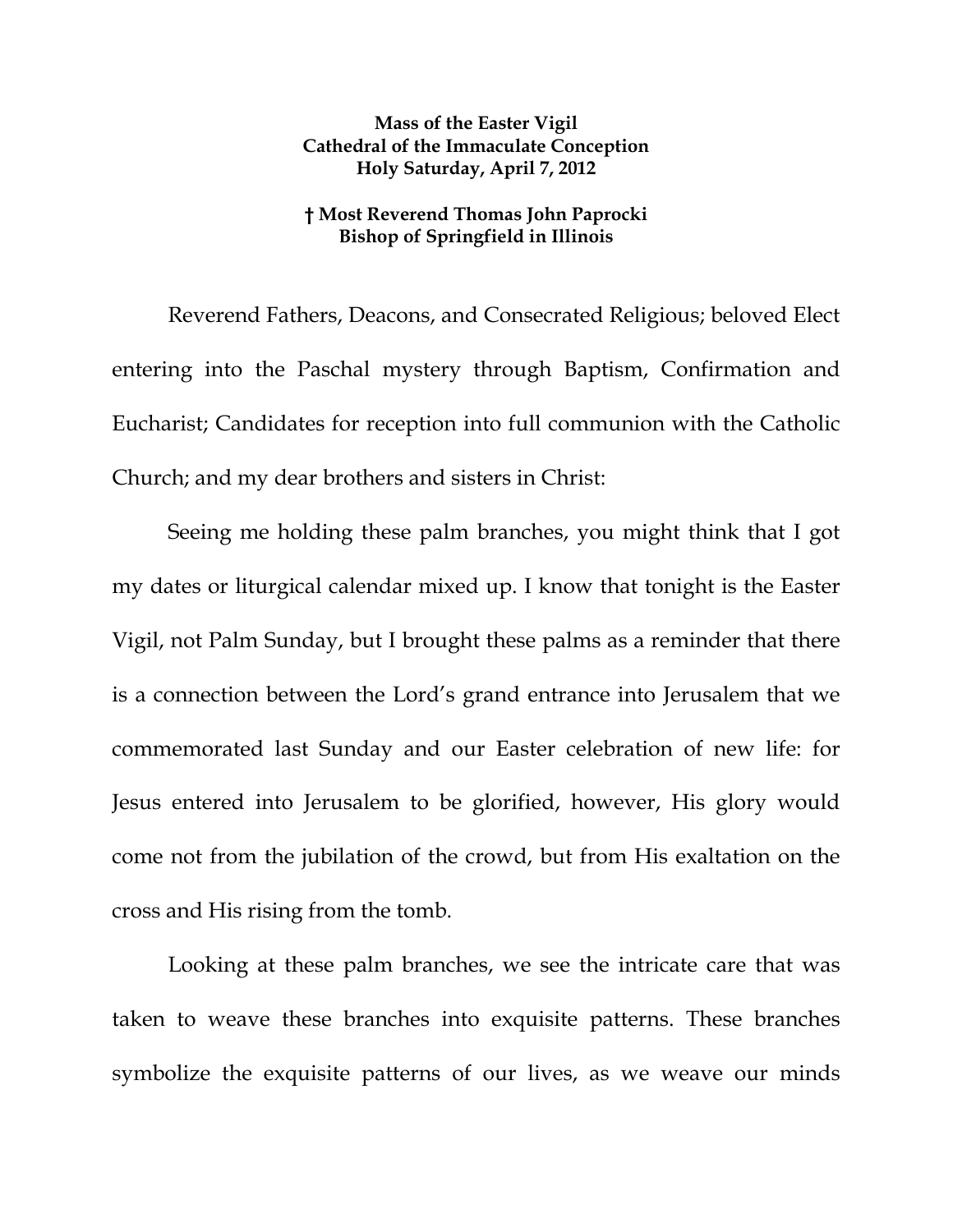## **Mass of the Easter Vigil Cathedral of the Immaculate Conception Holy Saturday, April 7, 2012**

## **† Most Reverend Thomas John Paprocki Bishop of Springfield in Illinois**

Reverend Fathers, Deacons, and Consecrated Religious; beloved Elect entering into the Paschal mystery through Baptism, Confirmation and Eucharist; Candidates for reception into full communion with the Catholic Church; and my dear brothers and sisters in Christ:

Seeing me holding these palm branches, you might think that I got my dates or liturgical calendar mixed up. I know that tonight is the Easter Vigil, not Palm Sunday, but I brought these palms as a reminder that there is a connection between the Lord's grand entrance into Jerusalem that we commemorated last Sunday and our Easter celebration of new life: for Jesus entered into Jerusalem to be glorified, however, His glory would come not from the jubilation of the crowd, but from His exaltation on the cross and His rising from the tomb.

Looking at these palm branches, we see the intricate care that was taken to weave these branches into exquisite patterns. These branches symbolize the exquisite patterns of our lives, as we weave our minds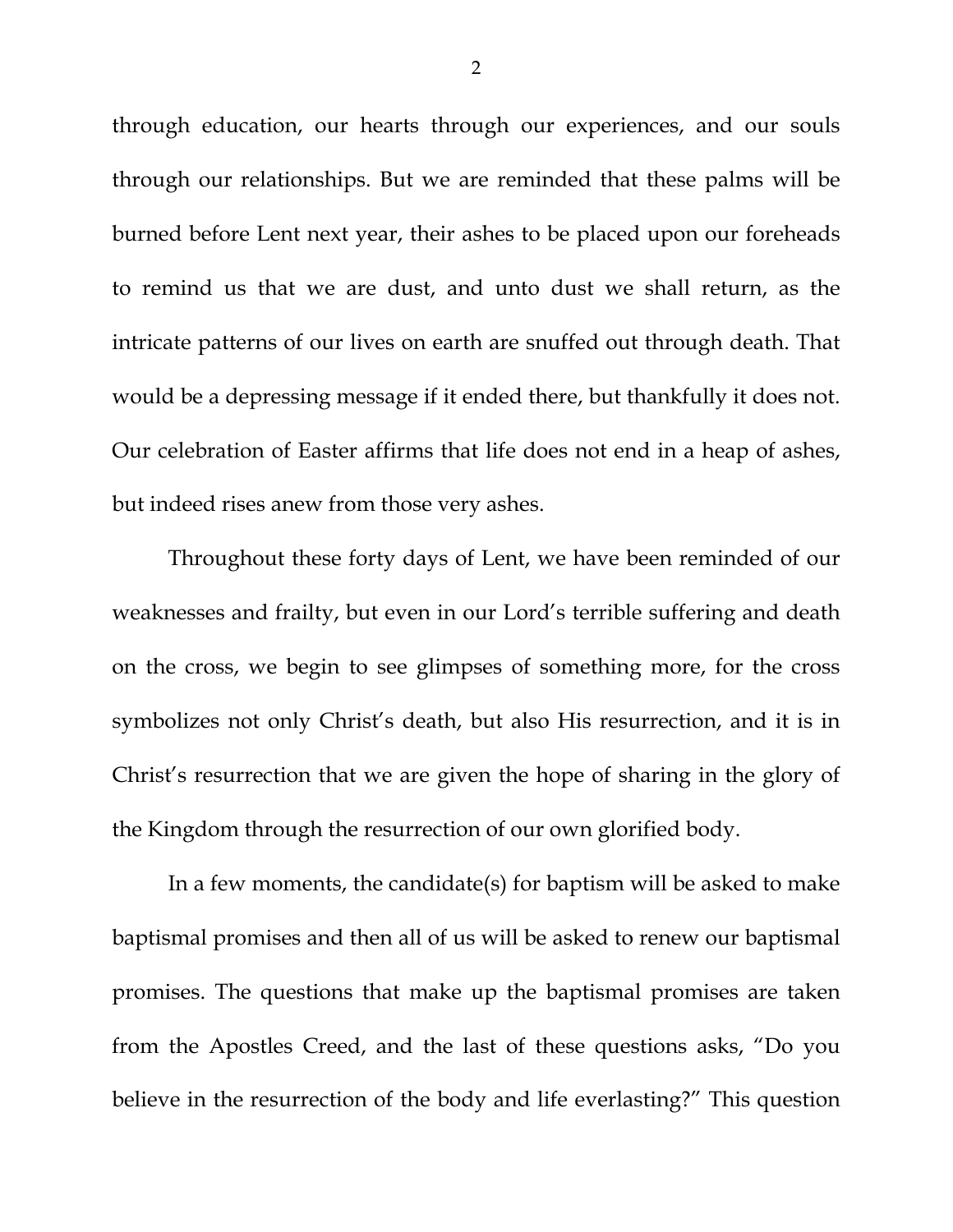through education, our hearts through our experiences, and our souls through our relationships. But we are reminded that these palms will be burned before Lent next year, their ashes to be placed upon our foreheads to remind us that we are dust, and unto dust we shall return, as the intricate patterns of our lives on earth are snuffed out through death. That would be a depressing message if it ended there, but thankfully it does not. Our celebration of Easter affirms that life does not end in a heap of ashes, but indeed rises anew from those very ashes.

Throughout these forty days of Lent, we have been reminded of our weaknesses and frailty, but even in our Lord's terrible suffering and death on the cross, we begin to see glimpses of something more, for the cross symbolizes not only Christ's death, but also His resurrection, and it is in Christ's resurrection that we are given the hope of sharing in the glory of the Kingdom through the resurrection of our own glorified body.

In a few moments, the candidate(s) for baptism will be asked to make baptismal promises and then all of us will be asked to renew our baptismal promises. The questions that make up the baptismal promises are taken from the Apostles Creed, and the last of these questions asks, "Do you believe in the resurrection of the body and life everlasting?" This question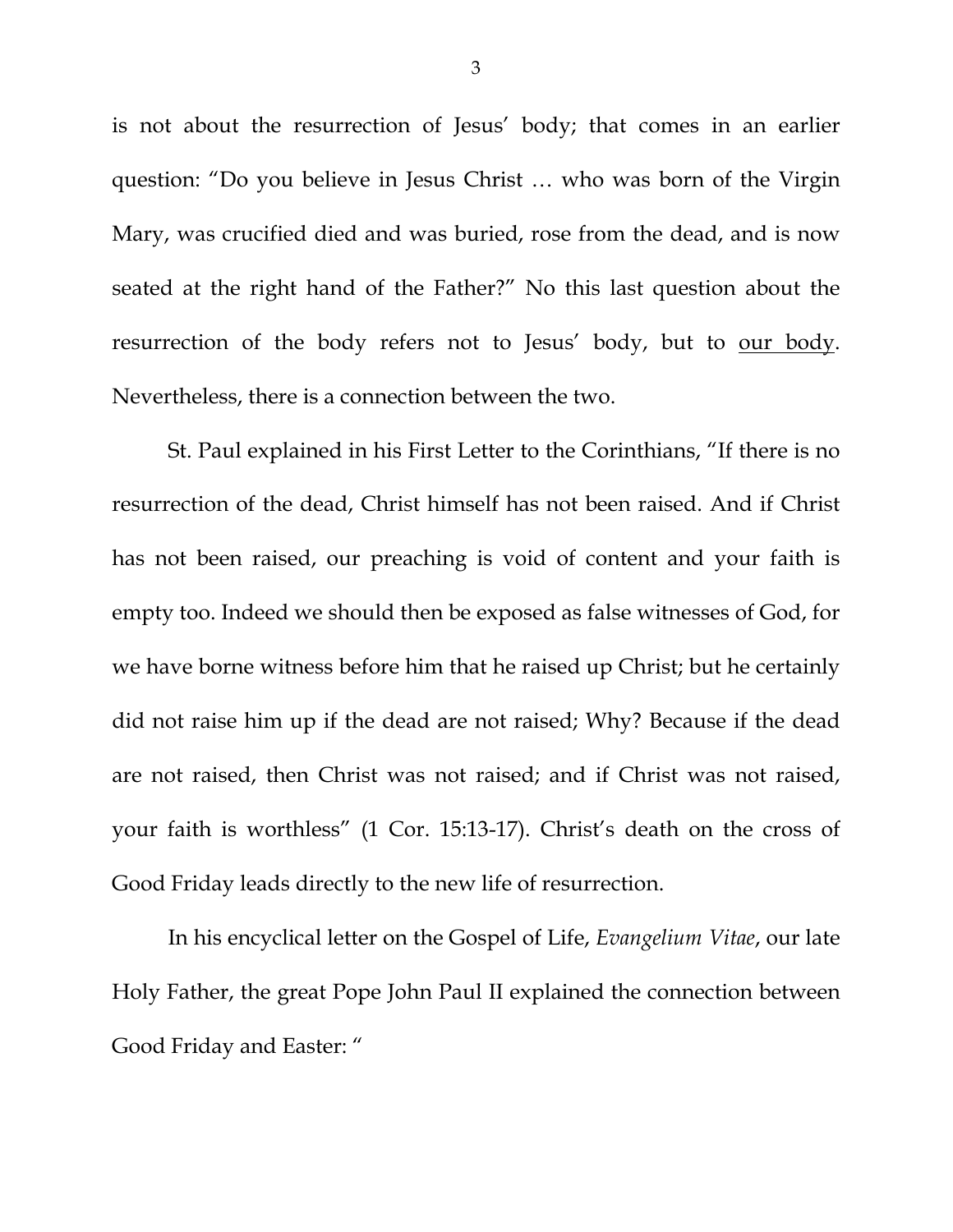is not about the resurrection of Jesus' body; that comes in an earlier question: "Do you believe in Jesus Christ … who was born of the Virgin Mary, was crucified died and was buried, rose from the dead, and is now seated at the right hand of the Father?" No this last question about the resurrection of the body refers not to Jesus' body, but to our body. Nevertheless, there is a connection between the two.

St. Paul explained in his First Letter to the Corinthians, "If there is no resurrection of the dead, Christ himself has not been raised. And if Christ has not been raised, our preaching is void of content and your faith is empty too. Indeed we should then be exposed as false witnesses of God, for we have borne witness before him that he raised up Christ; but he certainly did not raise him up if the dead are not raised; Why? Because if the dead are not raised, then Christ was not raised; and if Christ was not raised, your faith is worthless" (1 Cor. 15:13-17). Christ's death on the cross of Good Friday leads directly to the new life of resurrection.

In his encyclical letter on the Gospel of Life, *Evangelium Vitae*, our late Holy Father, the great Pope John Paul II explained the connection between Good Friday and Easter: "

3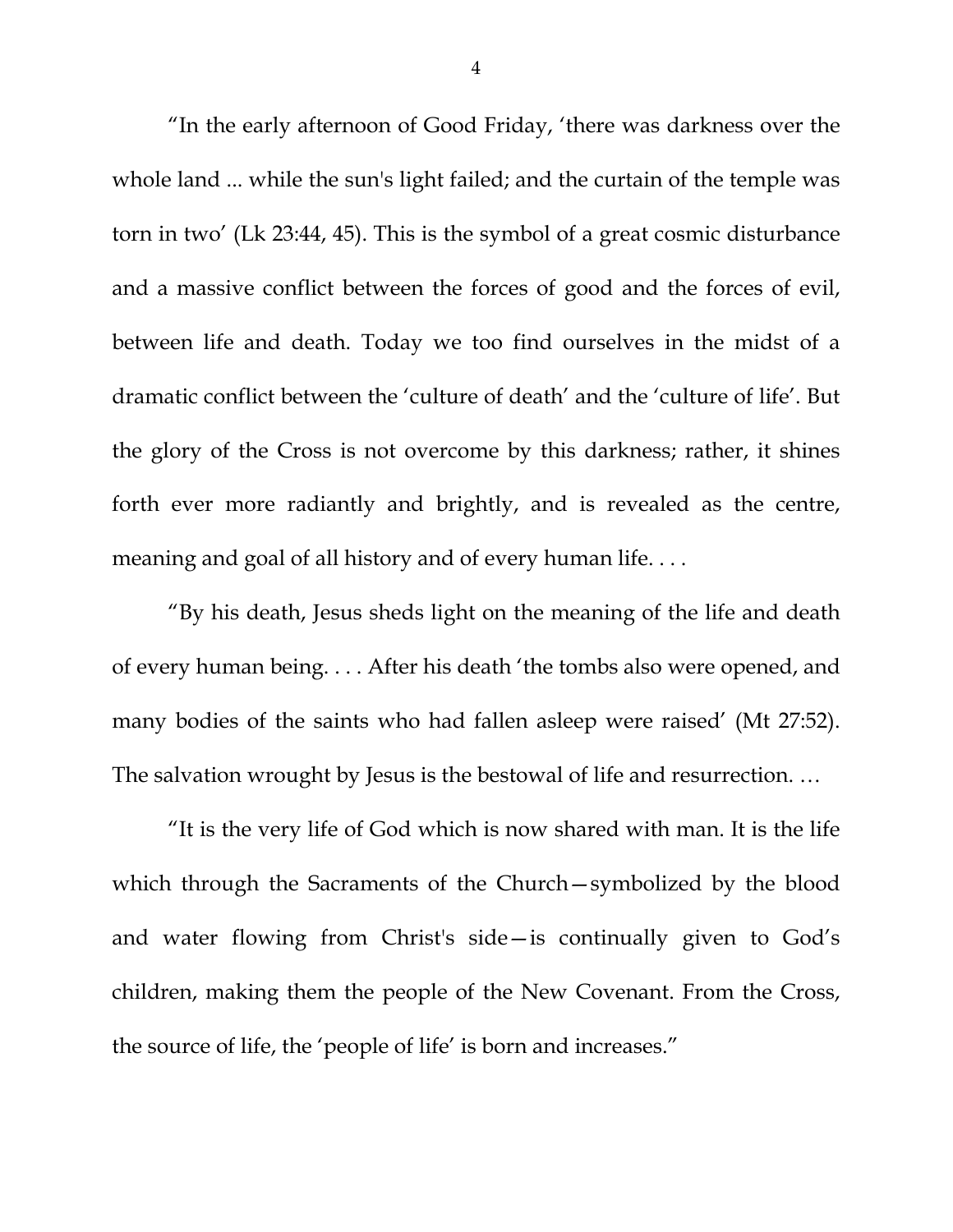"In the early afternoon of Good Friday, 'there was darkness over the whole land ... while the sun's light failed; and the curtain of the temple was torn in two' (Lk 23:44, 45). This is the symbol of a great cosmic disturbance and a massive conflict between the forces of good and the forces of evil, between life and death. Today we too find ourselves in the midst of a dramatic conflict between the 'culture of death' and the 'culture of life'. But the glory of the Cross is not overcome by this darkness; rather, it shines forth ever more radiantly and brightly, and is revealed as the centre, meaning and goal of all history and of every human life. . . .

"By his death, Jesus sheds light on the meaning of the life and death of every human being. . . . After his death 'the tombs also were opened, and many bodies of the saints who had fallen asleep were raised' (Mt 27:52). The salvation wrought by Jesus is the bestowal of life and resurrection. …

"It is the very life of God which is now shared with man. It is the life which through the Sacraments of the Church—symbolized by the blood and water flowing from Christ's side—is continually given to God's children, making them the people of the New Covenant. From the Cross, the source of life, the 'people of life' is born and increases."

4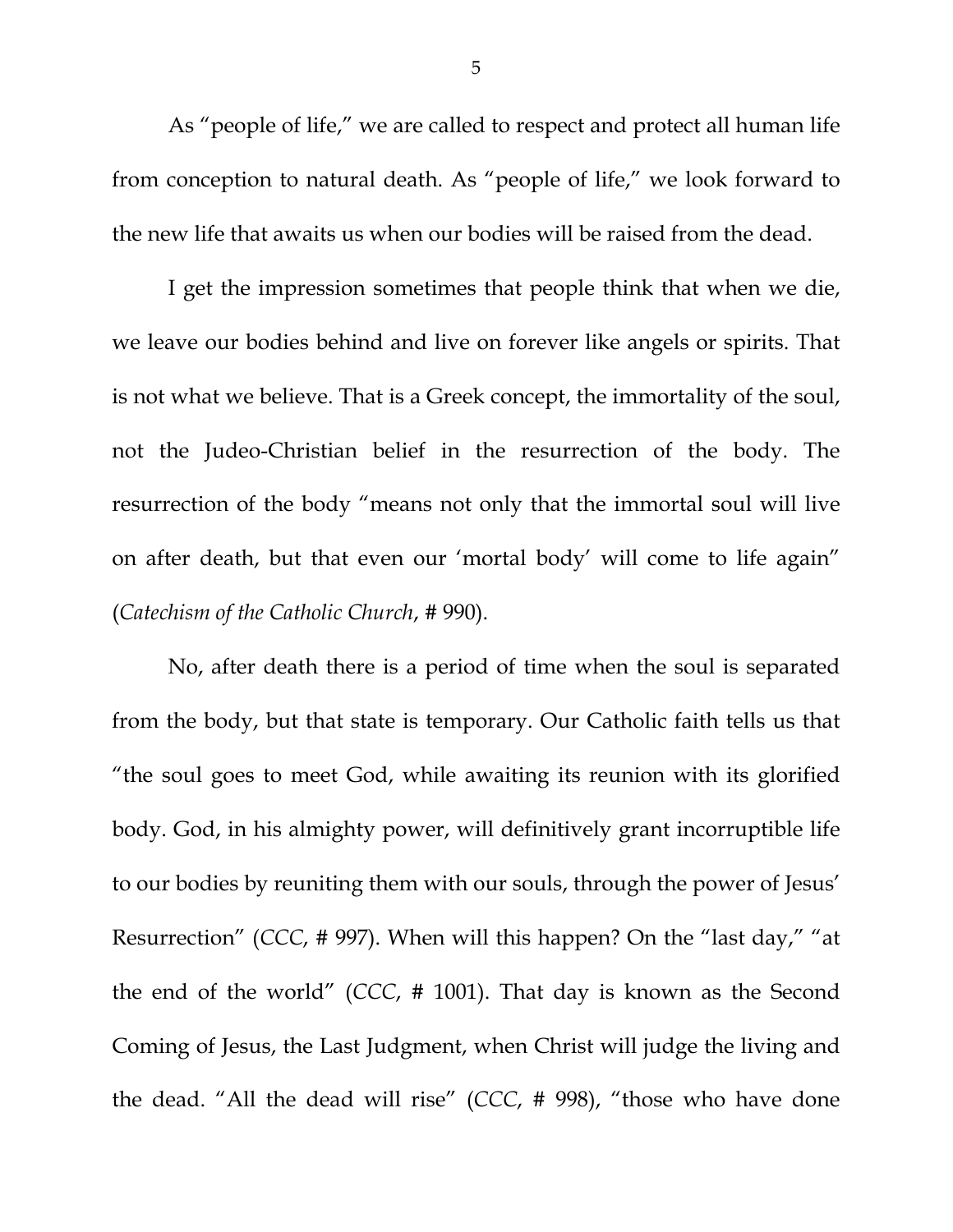As "people of life," we are called to respect and protect all human life from conception to natural death. As "people of life," we look forward to the new life that awaits us when our bodies will be raised from the dead.

I get the impression sometimes that people think that when we die, we leave our bodies behind and live on forever like angels or spirits. That is not what we believe. That is a Greek concept, the immortality of the soul, not the Judeo-Christian belief in the resurrection of the body. The resurrection of the body "means not only that the immortal soul will live on after death, but that even our 'mortal body' will come to life again" (*Catechism of the Catholic Church*, # 990).

No, after death there is a period of time when the soul is separated from the body, but that state is temporary. Our Catholic faith tells us that "the soul goes to meet God, while awaiting its reunion with its glorified body. God, in his almighty power, will definitively grant incorruptible life to our bodies by reuniting them with our souls, through the power of Jesus' Resurrection" (*CCC*, # 997). When will this happen? On the "last day," "at the end of the world" (*CCC*, # 1001). That day is known as the Second Coming of Jesus, the Last Judgment, when Christ will judge the living and the dead. "All the dead will rise" (*CCC*, # 998), "those who have done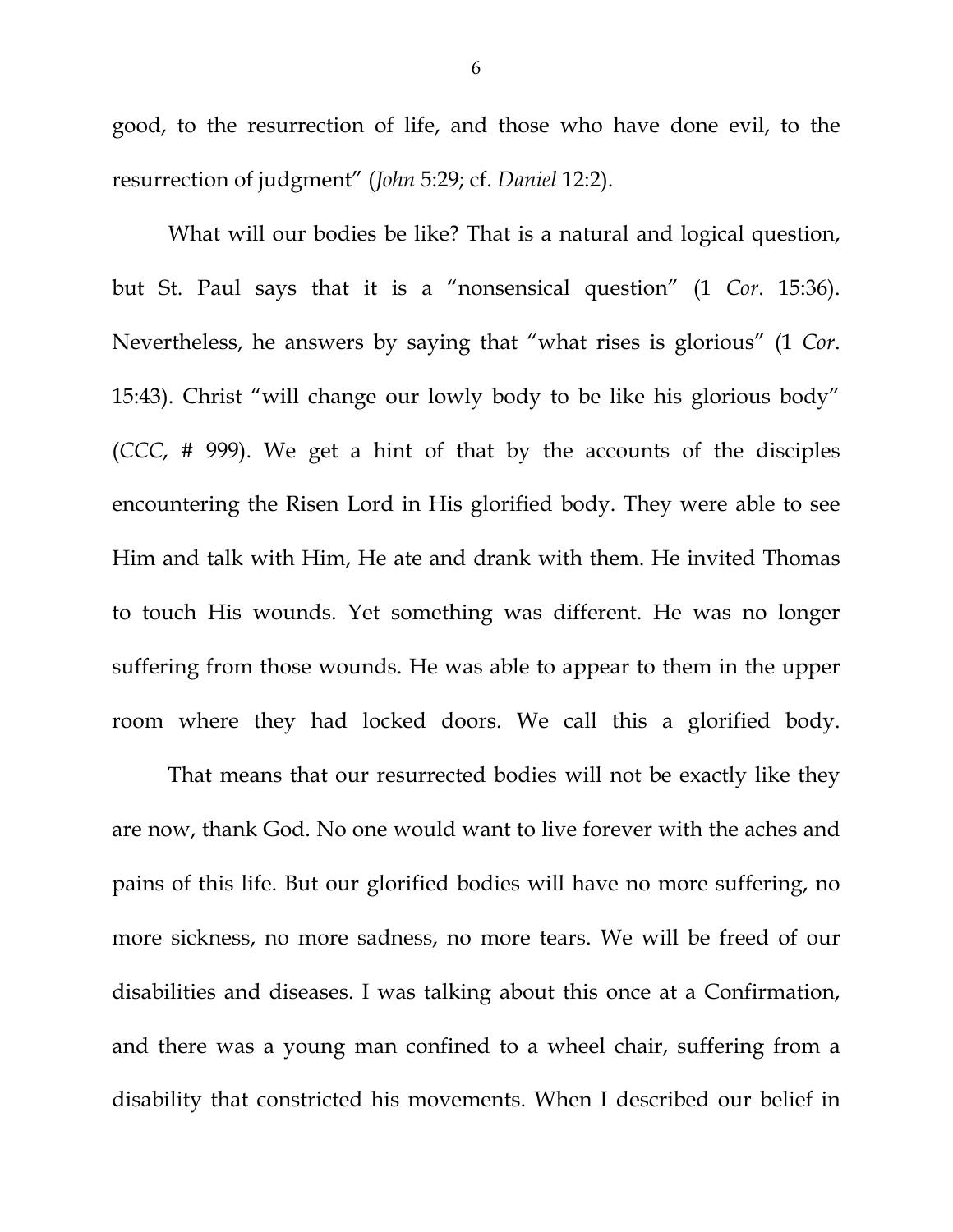good, to the resurrection of life, and those who have done evil, to the resurrection of judgment" (*John* 5:29; cf. *Daniel* 12:2).

What will our bodies be like? That is a natural and logical question, but St. Paul says that it is a "nonsensical question" (1 *Cor*. 15:36). Nevertheless, he answers by saying that "what rises is glorious" (1 *Cor*. 15:43). Christ "will change our lowly body to be like his glorious body" (*CCC*, # 999). We get a hint of that by the accounts of the disciples encountering the Risen Lord in His glorified body. They were able to see Him and talk with Him, He ate and drank with them. He invited Thomas to touch His wounds. Yet something was different. He was no longer suffering from those wounds. He was able to appear to them in the upper room where they had locked doors. We call this a glorified body.

 That means that our resurrected bodies will not be exactly like they are now, thank God. No one would want to live forever with the aches and pains of this life. But our glorified bodies will have no more suffering, no more sickness, no more sadness, no more tears. We will be freed of our disabilities and diseases. I was talking about this once at a Confirmation, and there was a young man confined to a wheel chair, suffering from a disability that constricted his movements. When I described our belief in